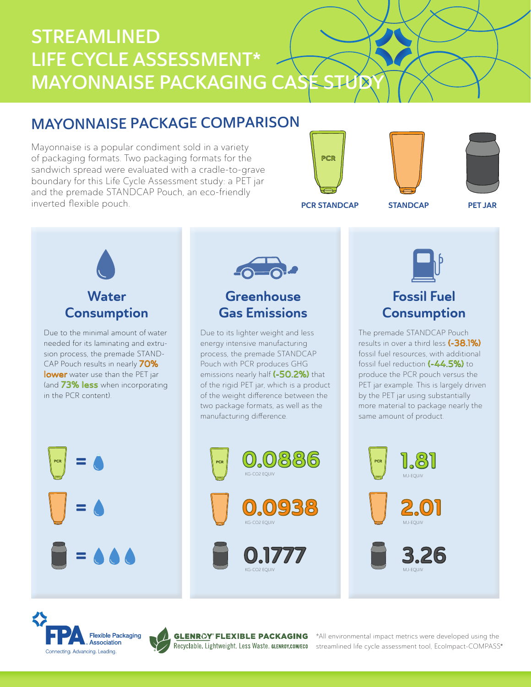# STREAMLINED LIFE CYCLE ASSESSMENT\* **MAYONNAISE PACKAGING CASE STUB**

## MAYONNAISE PACKAGE COMPARISON

Mayonnaise is a popular condiment sold in a variety of packaging formats. Two packaging formats for the sandwich spread were evaluated with a cradle-to-grave boundary for this Life Cycle Assessment study: a PET jar and the premade STANDCAP Pouch, an eco-friendly inverted flexible pouch.







PCR STANDCAP STANDCAP

PET JAR



Due to the minimal amount of water needed for its laminating and extrusion process, the premade STAND-CAP Pouch results in nearly 70% lower water use than the PET jar (and 73% less when incorporating in the PCR content).



## **Greenhouse** Gas Emissions

Due to its lighter weight and less energy intensive manufacturing process, the premade STANDCAP Pouch with PCR produces GHG emissions nearly half (-50.2%) that of the rigid PET jar, which is a product of the weight difference between the two package formats, as well as the manufacturing difference.





## Fossil Fuel **Consumption**

The premade STANDCAP Pouch results in over a third less (-38.1%) fossil fuel resources, with additional fossil fuel reduction (-44.5%) to produce the PCR pouch versus the PET jar example. This is largely driven by the PET jar using substantially more material to package nearly the same amount of product.





=

=

=



®

\*All environmental impact metrics were developed using the streamlined life cycle assessment tool, EcoImpact-COMPASS®

MJ-EQUIV